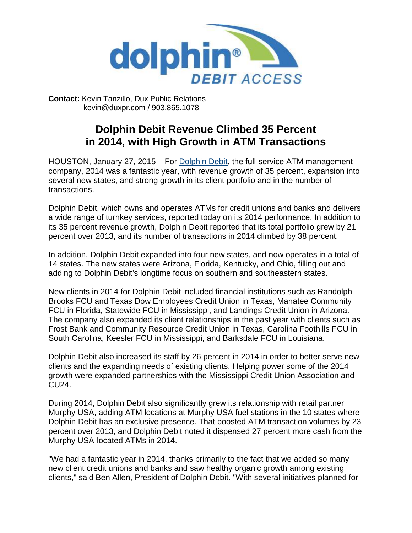

**Contact:** Kevin Tanzillo, Dux Public Relations kevin@duxpr.com / 903.865.1078

## **Dolphin Debit Revenue Climbed 35 Percent in 2014, with High Growth in ATM Transactions**

HOUSTON, January 27, 2015 – For [Dolphin](http://www.dolphindebit.com/) Debit, the full-service ATM management company, 2014 was a fantastic year, with revenue growth of 35 percent, expansion into several new states, and strong growth in its client portfolio and in the number of transactions.

Dolphin Debit, which owns and operates ATMs for credit unions and banks and delivers a wide range of turnkey services, reported today on its 2014 performance. In addition to its 35 percent revenue growth, Dolphin Debit reported that its total portfolio grew by 21 percent over 2013, and its number of transactions in 2014 climbed by 38 percent.

In addition, Dolphin Debit expanded into four new states, and now operates in a total of 14 states. The new states were Arizona, Florida, Kentucky, and Ohio, filling out and adding to Dolphin Debit's longtime focus on southern and southeastern states.

New clients in 2014 for Dolphin Debit included financial institutions such as Randolph Brooks FCU and Texas Dow Employees Credit Union in Texas, Manatee Community FCU in Florida, Statewide FCU in Mississippi, and Landings Credit Union in Arizona. The company also expanded its client relationships in the past year with clients such as Frost Bank and Community Resource Credit Union in Texas, Carolina Foothills FCU in South Carolina, Keesler FCU in Mississippi, and Barksdale FCU in Louisiana.

Dolphin Debit also increased its staff by 26 percent in 2014 in order to better serve new clients and the expanding needs of existing clients. Helping power some of the 2014 growth were expanded partnerships with the Mississippi Credit Union Association and CU24.

During 2014, Dolphin Debit also significantly grew its relationship with retail partner Murphy USA, adding ATM locations at Murphy USA fuel stations in the 10 states where Dolphin Debit has an exclusive presence. That boosted ATM transaction volumes by 23 percent over 2013, and Dolphin Debit noted it dispensed 27 percent more cash from the Murphy USA-located ATMs in 2014.

"We had a fantastic year in 2014, thanks primarily to the fact that we added so many new client credit unions and banks and saw healthy organic growth among existing clients," said Ben Allen, President of Dolphin Debit. "With several initiatives planned for